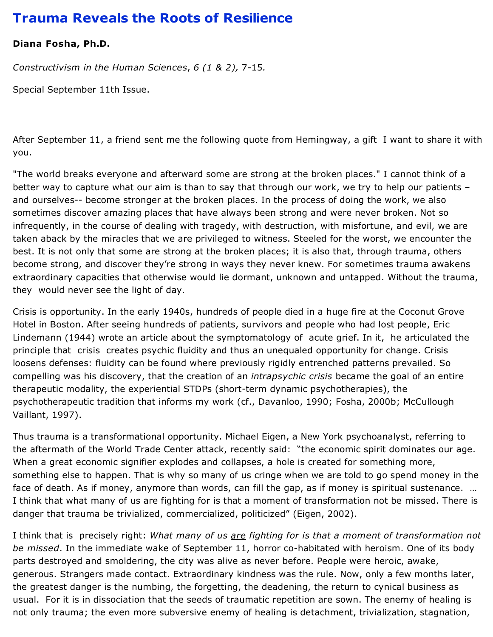## **Trauma Reveals the Roots of Resilience**

## **Diana Fosha, Ph.D.**

*Constructivism in the Human Sciences*, *6 (1 & 2),* 7-15*.*

Special September 11th Issue.

After September 11, a friend sent me the following quote from Hemingway, a gift I want to share it with you.

"The world breaks everyone and afterward some are strong at the broken places." I cannot think of a better way to capture what our aim is than to say that through our work, we try to help our patients – and ourselves-- become stronger at the broken places. In the process of doing the work, we also sometimes discover amazing places that have always been strong and were never broken. Not so infrequently, in the course of dealing with tragedy, with destruction, with misfortune, and evil, we are taken aback by the miracles that we are privileged to witness. Steeled for the worst, we encounter the best. It is not only that some are strong at the broken places; it is also that, through trauma, others become strong, and discover they're strong in ways they never knew. For sometimes trauma awakens extraordinary capacities that otherwise would lie dormant, unknown and untapped. Without the trauma, they would never see the light of day.

Crisis is opportunity. In the early 1940s, hundreds of people died in a huge fire at the Coconut Grove Hotel in Boston. After seeing hundreds of patients, survivors and people who had lost people, Eric Lindemann (1944) wrote an article about the symptomatology of acute grief. In it, he articulated the principle that crisis creates psychic fluidity and thus an unequaled opportunity for change. Crisis loosens defenses: fluidity can be found where previously rigidly entrenched patterns prevailed. So compelling was his discovery, that the creation of an *intrapsychic crisis* became the goal of an entire therapeutic modality, the experiential STDPs (short-term dynamic psychotherapies), the psychotherapeutic tradition that informs my work (cf., Davanloo, 1990; Fosha, 2000b; McCullough Vaillant, 1997).

Thus trauma is a transformational opportunity. Michael Eigen, a New York psychoanalyst, referring to the aftermath of the World Trade Center attack, recently said: "the economic spirit dominates our age. When a great economic signifier explodes and collapses, a hole is created for something more, something else to happen. That is why so many of us cringe when we are told to go spend money in the face of death. As if money, anymore than words, can fill the gap, as if money is spiritual sustenance. … I think that what many of us are fighting for is that a moment of transformation not be missed. There is danger that trauma be trivialized, commercialized, politicized" (Eigen, 2002).

I think that is precisely right: *What many of us are fighting for is that a moment of transformation not be missed*. In the immediate wake of September 11, horror co-habitated with heroism. One of its body parts destroyed and smoldering, the city was alive as never before. People were heroic, awake, generous. Strangers made contact. Extraordinary kindness was the rule. Now, only a few months later, the greatest danger is the numbing, the forgetting, the deadening, the return to cynical business as usual. For it is in dissociation that the seeds of traumatic repetition are sown. The enemy of healing is not only trauma; the even more subversive enemy of healing is detachment, trivialization, stagnation,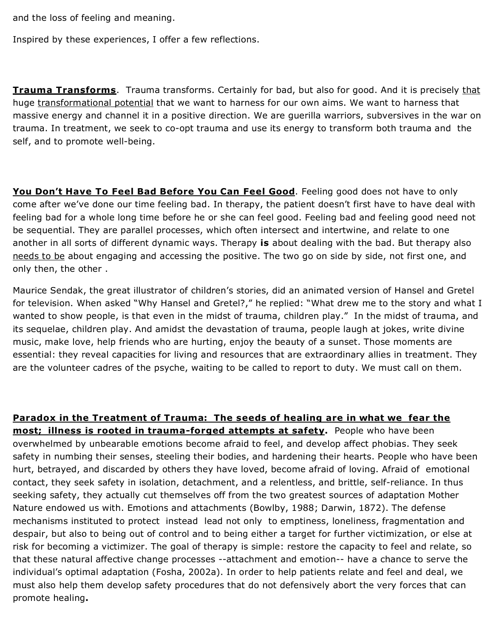and the loss of feeling and meaning.

Inspired by these experiences, I offer a few reflections.

**Trauma Transforms**. Trauma transforms. Certainly for bad, but also for good. And it is precisely that huge transformational potential that we want to harness for our own aims. We want to harness that massive energy and channel it in a positive direction. We are guerilla warriors, subversives in the war on trauma. In treatment, we seek to co-opt trauma and use its energy to transform both trauma and the self, and to promote well-being.

**You Don't Have To Feel Bad Before You Can Feel Good**. Feeling good does not have to only come after we've done our time feeling bad. In therapy, the patient doesn't first have to have deal with feeling bad for a whole long time before he or she can feel good. Feeling bad and feeling good need not be sequential. They are parallel processes, which often intersect and intertwine, and relate to one another in all sorts of different dynamic ways. Therapy **is** about dealing with the bad. But therapy also needs to be about engaging and accessing the positive. The two go on side by side, not first one, and only then, the other .

Maurice Sendak, the great illustrator of children's stories, did an animated version of Hansel and Gretel for television. When asked "Why Hansel and Gretel?," he replied: "What drew me to the story and what I wanted to show people, is that even in the midst of trauma, children play." In the midst of trauma, and its sequelae, children play. And amidst the devastation of trauma, people laugh at jokes, write divine music, make love, help friends who are hurting, enjoy the beauty of a sunset. Those moments are essential: they reveal capacities for living and resources that are extraordinary allies in treatment. They are the volunteer cadres of the psyche, waiting to be called to report to duty. We must call on them.

**Paradox in the Treatment of Trauma: The seeds of healing are in what we fear the most; illness is rooted in trauma-forged attempts at safety.** People who have been overwhelmed by unbearable emotions become afraid to feel, and develop affect phobias. They seek safety in numbing their senses, steeling their bodies, and hardening their hearts. People who have been hurt, betrayed, and discarded by others they have loved, become afraid of loving. Afraid of emotional contact, they seek safety in isolation, detachment, and a relentless, and brittle, self-reliance. In thus seeking safety, they actually cut themselves off from the two greatest sources of adaptation Mother Nature endowed us with. Emotions and attachments (Bowlby, 1988; Darwin, 1872). The defense mechanisms instituted to protect instead lead not only to emptiness, loneliness, fragmentation and despair, but also to being out of control and to being either a target for further victimization, or else at risk for becoming a victimizer. The goal of therapy is simple: restore the capacity to feel and relate, so that these natural affective change processes --attachment and emotion-- have a chance to serve the individual's optimal adaptation (Fosha, 2002a). In order to help patients relate and feel and deal, we must also help them develop safety procedures that do not defensively abort the very forces that can promote healing**.**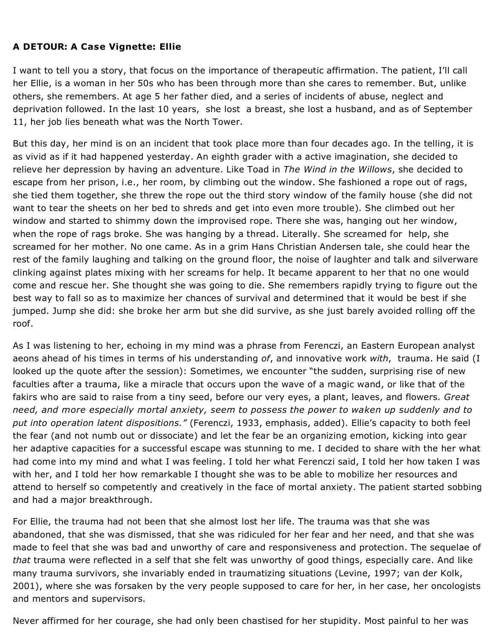## **A DETOUR: A Case Vignette: Ellie**

I want to tell you a story, that focus on the importance of therapeutic affirmation. The patient, I'll call her Ellie, is a woman in her 50s who has been through more than she cares to remember. But, unlike others, she remembers. At age 5 her father died, and a series of incidents of abuse, neglect and deprivation followed. In the last 10 years, she lost a breast, she lost a husband, and as of September 11, her job lies beneath what was the North Tower.

But this day, her mind is on an incident that took place more than four decades ago. In the telling, it is as vivid as if it had happened yesterday. An eighth grader with a active imagination, she decided to relieve her depression by having an adventure. Like Toad in *The Wind in the Willows*, she decided to escape from her prison, i.e., her room, by climbing out the window. She fashioned a rope out of rags, she tied them together, she threw the rope out the third story window of the family house (she did not want to tear the sheets on her bed to shreds and get into even more trouble). She climbed out her window and started to shimmy down the improvised rope. There she was, hanging out her window, when the rope of rags broke. She was hanging by a thread. Literally. She screamed for help, she screamed for her mother. No one came. As in a grim Hans Christian Andersen tale, she could hear the rest of the family laughing and talking on the ground floor, the noise of laughter and talk and silverware clinking against plates mixing with her screams for help. It became apparent to her that no one would come and rescue her. She thought she was going to die. She remembers rapidly trying to figure out the best way to fall so as to maximize her chances of survival and determined that it would be best if she jumped. Jump she did: she broke her arm but she did survive, as she just barely avoided rolling off the roof.

As I was listening to her, echoing in my mind was a phrase from Ferenczi, an Eastern European analyst aeons ahead of his times in terms of his understanding *of*, and innovative work *with*, trauma. He said (I looked up the quote after the session): Sometimes, we encounter "the sudden, surprising rise of new faculties after a trauma, like a miracle that occurs upon the wave of a magic wand, or like that of the fakirs who are said to raise from a tiny seed, before our very eyes, a plant, leaves, and flowers. *Great need, and more especially mortal anxiety, seem to possess the power to waken up suddenly and to put into operation latent dispositions."* (Ferenczi, 1933, emphasis, added). Ellie's capacity to both feel the fear (and not numb out or dissociate) and let the fear be an organizing emotion, kicking into gear her adaptive capacities for a successful escape was stunning to me. I decided to share with the her what had come into my mind and what I was feeling. I told her what Ferenczi said, I told her how taken I was with her, and I told her how remarkable I thought she was to be able to mobilize her resources and attend to herself so competently and creatively in the face of mortal anxiety. The patient started sobbing and had a major breakthrough.

For Ellie, the trauma had not been that she almost lost her life. The trauma was that she was abandoned, that she was dismissed, that she was ridiculed for her fear and her need, and that she was made to feel that she was bad and unworthy of care and responsiveness and protection. The sequelae of *that* trauma were reflected in a self that she felt was unworthy of good things, especially care. And like many trauma survivors, she invariably ended in traumatizing situations (Levine, 1997; van der Kolk, 2001), where she was forsaken by the very people supposed to care for her, in her case, her oncologists and mentors and supervisors.

Never affirmed for her courage, she had only been chastised for her stupidity. Most painful to her was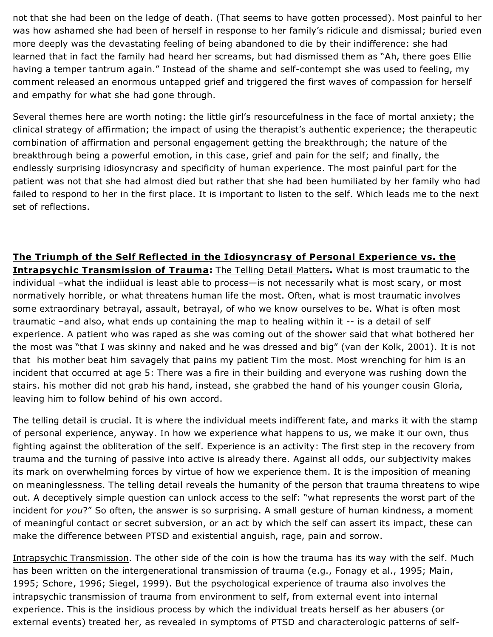not that she had been on the ledge of death. (That seems to have gotten processed). Most painful to her was how ashamed she had been of herself in response to her family's ridicule and dismissal; buried even more deeply was the devastating feeling of being abandoned to die by their indifference: she had learned that in fact the family had heard her screams, but had dismissed them as "Ah, there goes Ellie having a temper tantrum again." Instead of the shame and self-contempt she was used to feeling, my comment released an enormous untapped grief and triggered the first waves of compassion for herself and empathy for what she had gone through.

Several themes here are worth noting: the little girl's resourcefulness in the face of mortal anxiety; the clinical strategy of affirmation; the impact of using the therapist's authentic experience; the therapeutic combination of affirmation and personal engagement getting the breakthrough; the nature of the breakthrough being a powerful emotion, in this case, grief and pain for the self; and finally, the endlessly surprising idiosyncrasy and specificity of human experience. The most painful part for the patient was not that she had almost died but rather that she had been humiliated by her family who had failed to respond to her in the first place. It is important to listen to the self. Which leads me to the next set of reflections.

**The Triumph of the Self Reflected in the Idiosyncrasy of Personal Experience vs. the Intrapsychic Transmission of Trauma:** The Telling Detail Matters**.** What is most traumatic to the individual –what the indiidual is least able to process—is not necessarily what is most scary, or most normatively horrible, or what threatens human life the most. Often, what is most traumatic involves some extraordinary betrayal, assault, betrayal, of who we know ourselves to be. What is often most traumatic –and also, what ends up containing the map to healing within it -- is a detail of self experience. A patient who was raped as she was coming out of the shower said that what bothered her the most was "that I was skinny and naked and he was dressed and big" (van der Kolk, 2001). It is not that his mother beat him savagely that pains my patient Tim the most. Most wrenching for him is an incident that occurred at age 5: There was a fire in their building and everyone was rushing down the stairs. his mother did not grab his hand, instead, she grabbed the hand of his younger cousin Gloria, leaving him to follow behind of his own accord.

The telling detail is crucial. It is where the individual meets indifferent fate, and marks it with the stamp of personal experience, anyway. In how we experience what happens to us, we make it our own, thus fighting against the obliteration of the self. Experience is an activity: The first step in the recovery from trauma and the turning of passive into active is already there. Against all odds, our subjectivity makes its mark on overwhelming forces by virtue of how we experience them. It is the imposition of meaning on meaninglessness. The telling detail reveals the humanity of the person that trauma threatens to wipe out. A deceptively simple question can unlock access to the self: "what represents the worst part of the incident for *you*?" So often, the answer is so surprising. A small gesture of human kindness, a moment of meaningful contact or secret subversion, or an act by which the self can assert its impact, these can make the difference between PTSD and existential anguish, rage, pain and sorrow.

Intrapsychic Transmission. The other side of the coin is how the trauma has its way with the self. Much has been written on the intergenerational transmission of trauma (e.g., Fonagy et al., 1995; Main, 1995; Schore, 1996; Siegel, 1999). But the psychological experience of trauma also involves the intrapsychic transmission of trauma from environment to self, from external event into internal experience. This is the insidious process by which the individual treats herself as her abusers (or external events) treated her, as revealed in symptoms of PTSD and characterologic patterns of self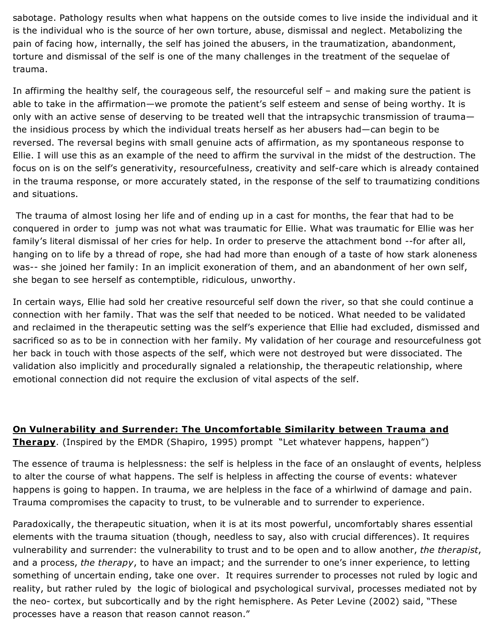sabotage. Pathology results when what happens on the outside comes to live inside the individual and it is the individual who is the source of her own torture, abuse, dismissal and neglect. Metabolizing the pain of facing how, internally, the self has joined the abusers, in the traumatization, abandonment, torture and dismissal of the self is one of the many challenges in the treatment of the sequelae of trauma.

In affirming the healthy self, the courageous self, the resourceful self – and making sure the patient is able to take in the affirmation—we promote the patient's self esteem and sense of being worthy. It is only with an active sense of deserving to be treated well that the intrapsychic transmission of trauma the insidious process by which the individual treats herself as her abusers had—can begin to be reversed. The reversal begins with small genuine acts of affirmation, as my spontaneous response to Ellie. I will use this as an example of the need to affirm the survival in the midst of the destruction. The focus on is on the self's generativity, resourcefulness, creativity and self-care which is already contained in the trauma response, or more accurately stated, in the response of the self to traumatizing conditions and situations.

The trauma of almost losing her life and of ending up in a cast for months, the fear that had to be conquered in order to jump was not what was traumatic for Ellie. What was traumatic for Ellie was her family's literal dismissal of her cries for help. In order to preserve the attachment bond --for after all, hanging on to life by a thread of rope, she had had more than enough of a taste of how stark aloneness was-- she joined her family: In an implicit exoneration of them, and an abandonment of her own self, she began to see herself as contemptible, ridiculous, unworthy.

In certain ways, Ellie had sold her creative resourceful self down the river, so that she could continue a connection with her family. That was the self that needed to be noticed. What needed to be validated and reclaimed in the therapeutic setting was the self's experience that Ellie had excluded, dismissed and sacrificed so as to be in connection with her family. My validation of her courage and resourcefulness got her back in touch with those aspects of the self, which were not destroyed but were dissociated. The validation also implicitly and procedurally signaled a relationship, the therapeutic relationship, where emotional connection did not require the exclusion of vital aspects of the self.

**On Vulnerability and Surrender: The Uncomfortable Similarity between Trauma and Therapy**. (Inspired by the EMDR (Shapiro, 1995) prompt "Let whatever happens, happen")

The essence of trauma is helplessness: the self is helpless in the face of an onslaught of events, helpless to alter the course of what happens. The self is helpless in affecting the course of events: whatever happens is going to happen. In trauma, we are helpless in the face of a whirlwind of damage and pain. Trauma compromises the capacity to trust, to be vulnerable and to surrender to experience.

Paradoxically, the therapeutic situation, when it is at its most powerful, uncomfortably shares essential elements with the trauma situation (though, needless to say, also with crucial differences). It requires vulnerability and surrender: the vulnerability to trust and to be open and to allow another, *the therapist*, and a process, *the therapy*, to have an impact; and the surrender to one's inner experience, to letting something of uncertain ending, take one over. It requires surrender to processes not ruled by logic and reality, but rather ruled by the logic of biological and psychological survival, processes mediated not by the neo- cortex, but subcortically and by the right hemisphere. As Peter Levine (2002) said, "These processes have a reason that reason cannot reason."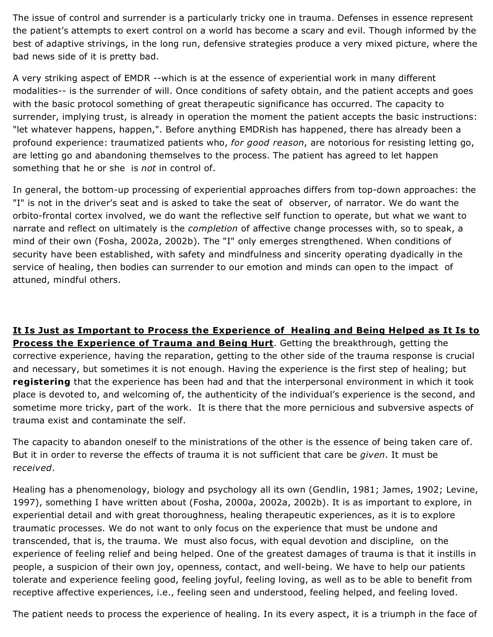The issue of control and surrender is a particularly tricky one in trauma. Defenses in essence represent the patient's attempts to exert control on a world has become a scary and evil. Though informed by the best of adaptive strivings, in the long run, defensive strategies produce a very mixed picture, where the bad news side of it is pretty bad.

A very striking aspect of EMDR --which is at the essence of experiential work in many different modalities-- is the surrender of will. Once conditions of safety obtain, and the patient accepts and goes with the basic protocol something of great therapeutic significance has occurred. The capacity to surrender, implying trust, is already in operation the moment the patient accepts the basic instructions: "let whatever happens, happen,". Before anything EMDRish has happened, there has already been a profound experience: traumatized patients who, *for good reason*, are notorious for resisting letting go, are letting go and abandoning themselves to the process. The patient has agreed to let happen something that he or she is *not* in control of.

In general, the bottom-up processing of experiential approaches differs from top-down approaches: the "I" is not in the driver's seat and is asked to take the seat of observer, of narrator. We do want the orbito-frontal cortex involved, we do want the reflective self function to operate, but what we want to narrate and reflect on ultimately is the *completion* of affective change processes with, so to speak, a mind of their own (Fosha, 2002a, 2002b). The "I" only emerges strengthened. When conditions of security have been established, with safety and mindfulness and sincerity operating dyadically in the service of healing, then bodies can surrender to our emotion and minds can open to the impact of attuned, mindful others.

**It Is Just as Important to Process the Experience of Healing and Being Helped as It Is to Process the Experience of Trauma and Being Hurt**. Getting the breakthrough, getting the corrective experience, having the reparation, getting to the other side of the trauma response is crucial and necessary, but sometimes it is not enough. Having the experience is the first step of healing; but **registering** that the experience has been had and that the interpersonal environment in which it took place is devoted to, and welcoming of, the authenticity of the individual's experience is the second, and sometime more tricky, part of the work. It is there that the more pernicious and subversive aspects of trauma exist and contaminate the self.

The capacity to abandon oneself to the ministrations of the other is the essence of being taken care of. But it in order to reverse the effects of trauma it is not sufficient that care be *given*. It must be r*eceived*.

Healing has a phenomenology, biology and psychology all its own (Gendlin, 1981; James, 1902; Levine, 1997), something I have written about (Fosha, 2000a, 2002a, 2002b). It is as important to explore, in experiential detail and with great thoroughness, healing therapeutic experiences, as it is to explore traumatic processes. We do not want to only focus on the experience that must be undone and transcended, that is, the trauma. We must also focus, with equal devotion and discipline, on the experience of feeling relief and being helped. One of the greatest damages of trauma is that it instills in people, a suspicion of their own joy, openness, contact, and well-being. We have to help our patients tolerate and experience feeling good, feeling joyful, feeling loving, as well as to be able to benefit from receptive affective experiences, i.e., feeling seen and understood, feeling helped, and feeling loved.

The patient needs to process the experience of healing. In its every aspect, it is a triumph in the face of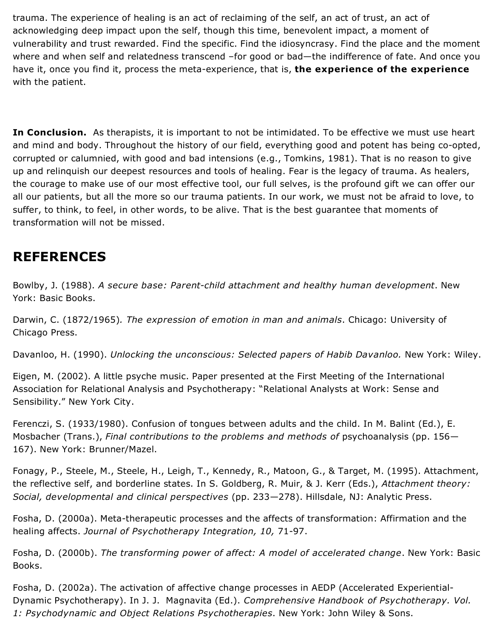trauma. The experience of healing is an act of reclaiming of the self, an act of trust, an act of acknowledging deep impact upon the self, though this time, benevolent impact, a moment of vulnerability and trust rewarded. Find the specific. Find the idiosyncrasy. Find the place and the moment where and when self and relatedness transcend –for good or bad—the indifference of fate. And once you have it, once you find it, process the meta-experience, that is, **the experience of the experience** with the patient.

**In Conclusion.** As therapists, it is important to not be intimidated. To be effective we must use heart and mind and body. Throughout the history of our field, everything good and potent has being co-opted, corrupted or calumnied, with good and bad intensions (e.g., Tomkins, 1981). That is no reason to give up and relinquish our deepest resources and tools of healing. Fear is the legacy of trauma. As healers, the courage to make use of our most effective tool, our full selves, is the profound gift we can offer our all our patients, but all the more so our trauma patients. In our work, we must not be afraid to love, to suffer, to think, to feel, in other words, to be alive. That is the best guarantee that moments of transformation will not be missed.

## **REFERENCES**

Bowlby, J. (1988). *A secure base: Parent-child attachment and healthy human development*. New York: Basic Books.

Darwin, C. (1872/1965)*. The expression of emotion in man and animals*. Chicago: University of Chicago Press.

Davanloo, H. (1990). *Unlocking the unconscious: Selected papers of Habib Davanloo.* New York: Wiley.

Eigen, M. (2002). A little psyche music. Paper presented at the First Meeting of the International Association for Relational Analysis and Psychotherapy: "Relational Analysts at Work: Sense and Sensibility." New York City.

Ferenczi, S. (1933/1980). Confusion of tongues between adults and the child. In M. Balint (Ed.), E. Mosbacher (Trans.), *Final contributions to the problems and methods of* psychoanalysis (pp. 156— 167). New York: Brunner/Mazel.

Fonagy, P., Steele, M., Steele, H., Leigh, T., Kennedy, R., Matoon, G., & Target, M. (1995). Attachment, the reflective self, and borderline states. In S. Goldberg, R. Muir, & J. Kerr (Eds.), *Attachment theory: Social, developmental and clinical perspectives* (pp. 233—278). Hillsdale, NJ: Analytic Press.

Fosha, D. (2000a). Meta-therapeutic processes and the affects of transformation: Affirmation and the healing affects. *Journal of Psychotherapy Integration, 10,* 71-97.

Fosha, D. (2000b). *The transforming power of affect: A model of accelerated change*. New York: Basic Books.

Fosha, D. (2002a). The activation of affective change processes in AEDP (Accelerated Experiential-Dynamic Psychotherapy). In J. J. Magnavita (Ed.). *Comprehensive Handbook of Psychotherapy. Vol. 1: Psychodynamic and Object Relations Psychotherapies*. New York: John Wiley & Sons.